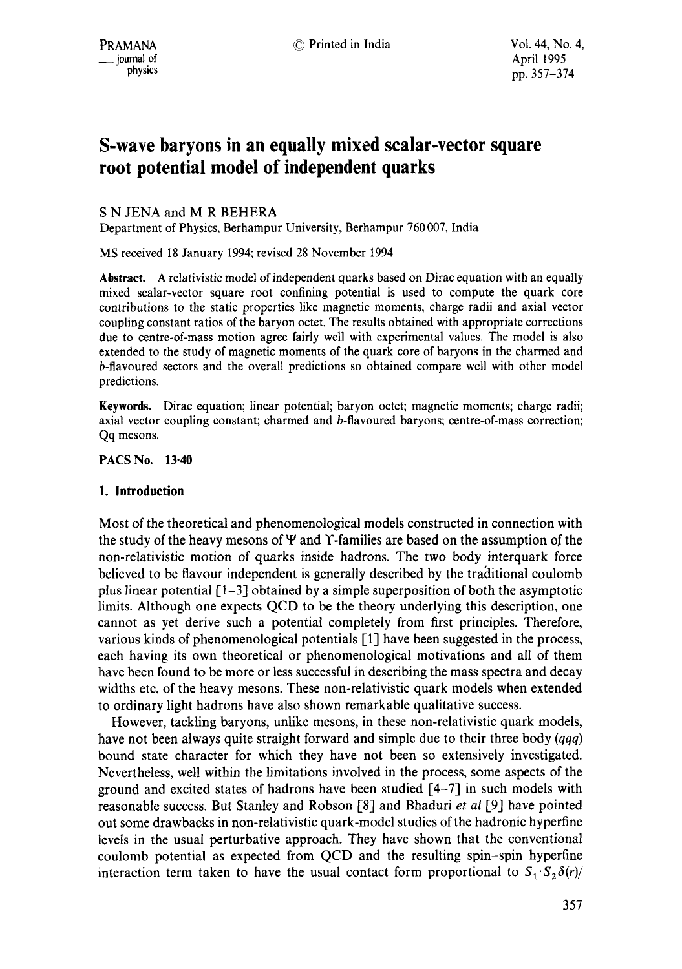# **S-wave baryons in an equally mixed scalar-vector square root potential model of independent quarks**

# S N JENA and M R BEHERA

Department of Physics, Berhampur University, Berhampur 760 007, India

MS received 18 January 1994; revised 28 November 1994

*Abstract.* A relativistic model of independent quarks based on Dirac equation with an equally mixed scalar-vector square root confining potential is used to compute the quark core contributions to the static properties like magnetic moments, charge radii and axial vector coupling constant ratios of the baryon octet. The results obtained with appropriate corrections due to centre-of-mass motion agree fairly well with experimental values. The model is also extended to the study of magnetic moments of the quark core of baryons in the charmed and b-flavoured sectors and the overall predictions so obtained compare well with other model predictions.

Keywords. Dirac equation; linear potential; baryon octet; magnetic moments; charge radii; axial vector coupling constant; charmed and b-flavoured baryons; centre-of-mass correction; Qq mesons.

**PACS No. 13"40** 

# **I. Introduction**

Most of the theoretical and phenomenological models constructed in connection with the study of the heavy mesons of W and Y-families are based on the assumption of the non-relativistic motion of quarks inside hadrons. The two body interquark force believed to be flavour independent is generally described by the traditional coulomb plus linear potential  $[1-3]$  obtained by a simple superposition of both the asymptotic limits. Although one expects QCD to be the theory underlying this description, one cannot as yet derive such a potential completely from first principles. Therefore, various kinds of phenomenological potentials [1] have been suggested in the process, each having its own theoretical or phenomenological motivations and all of them have been found to be more or less successful in describing the mass spectra and decay widths etc. of the heavy mesons. These non-relativistic quark models when extended to ordinary light hadrons have also shown remarkable qualitative success.

However, tackling baryons, unlike mesons, in these non-relativistic quark models, have not been always quite straight forward and simple due to their three body *(qqq)*  bound state character for which they have not been so extensively investigated. Nevertheless, well within the limitations involved in the process, some aspects of the ground and excited states of hadrons have been studied [4-7] in such models with reasonable success. But Stanley and Robson [8] and Bhaduri *et al* I-9] have pointed out some drawbacks in non-relativistic quark-model studies of the hadronic hyperfine levels in the usual perturbative approach. They have shown that the conventional coulomb potential as expected from QCD and the resulting spin-spin hyperfine interaction term taken to have the usual contact form proportional to  $S_1 \cdot S_2 \delta(r)/r$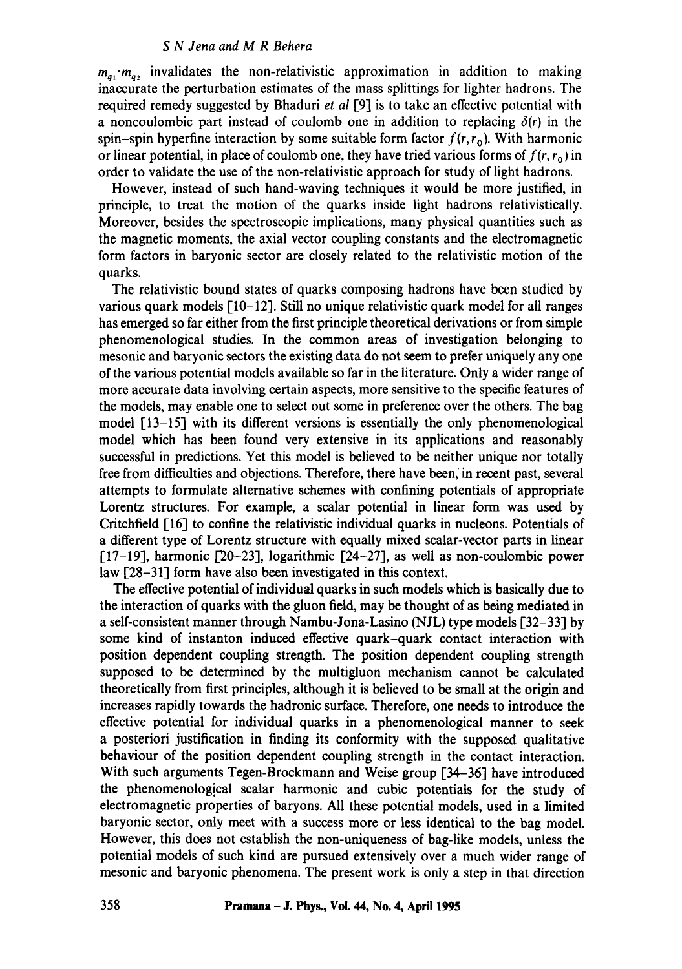$m_{q_1} \cdot m_{q_2}$  invalidates the non-relativistic approximation in addition to making inaccurate the perturbation estimates of the mass splittings for lighter hadrons. The required remedy suggested by Bhaduri *et al* [9] is to take an effective potential with a noncoulombic part instead of coulomb one in addition to replacing  $\delta(r)$  in the spin-spin hyperfine interaction by some suitable form factor  $f(r, r_0)$ . With harmonic or linear potential, in place of coulomb one, they have tried various forms of  $f(r, r_0)$  in order to validate the use of the non-relativistic approach for study of light hadrons.

However, instead of such hand-waving techniques it would be more justified, in principle, to treat the motion of the quarks inside light hadrons relativistically. Moreover, besides the spectroscopic implications, many physical quantities such as the magnetic moments, the axial vector coupling constants and the electromagnetic form factors in baryonic sector are closely related to the relativistic motion of the quarks.

The relativistic bound states of quarks composing hadrons have been studied by various quark models  $[10-12]$ . Still no unique relativistic quark model for all ranges has emerged so far either from the first principle theoretical derivations or from simple phenomenological studies. In the common areas of investigation belonging to mesonic and baryonic sectors the existing data do not seem to prefer uniquely any one of the various potential models available so far in the literature. Only a wider range of more accurate data involving certain aspects, more sensitive to the specific features of the models, may enable one to select out some in preference over the others. The bag model  $[13-15]$  with its different versions is essentially the only phenomenological model which has been found very extensive in its applications and reasonably successful in predictions. Yet this model is believed to be neither unique nor totally free from difficulties and objections. Therefore, there have been, in recent past, several attempts to formulate alternative schemes with confining potentials of appropriate Lorentz structures. For example, a scalar potential in linear form was used by Critchfield [16] to confine the relativistic individual quarks in nucleons. Potentials of a different type of Lorentz structure with equally mixed scalar-vector parts in linear  $[17-19]$ , harmonic  $[20-23]$ , logarithmic  $[24-27]$ , as well as non-coulombic power law [28-31] form have also been investigated in this context.

The effective potential of individual quarks in such models which is basically due to the interaction of quarks with the gluon field, may be thought of as being mediated in a self-consistent manner through Nambu-Jona-Lasino (NJL) type models [32–33] by some kind of instanton induced effective quark-quark contact interaction with position dependent coupling strength. The position dependent coupling strength supposed to be determined by the multigluon mechanism cannot be calculated theoretically from first principles, although it is believed to be small at the origin and increases rapidly towards the hadronic surface. Therefore, one needs to introduce the effective potential for individual quarks in a phenomenological manner to seek a posteriori justification in finding its conformity with the supposed qualitative behaviour of the position dependent coupling strength in the contact interaction. With such arguments Tegen-Brockmann and Weise group [34–36] have introduced the phenomenological scalar harmonic and cubic potentials for the study of electromagnetic properties of baryons. All these potential models, used in a limited baryonic sector, only meet with a success more or less identical to the bag model. However, this does not establish the non-uniqueness of bag-like models, unless the potential models of such kind are pursued extensively over a much wider range of mesonic and baryonic phenomena. The present work is only a step in that direction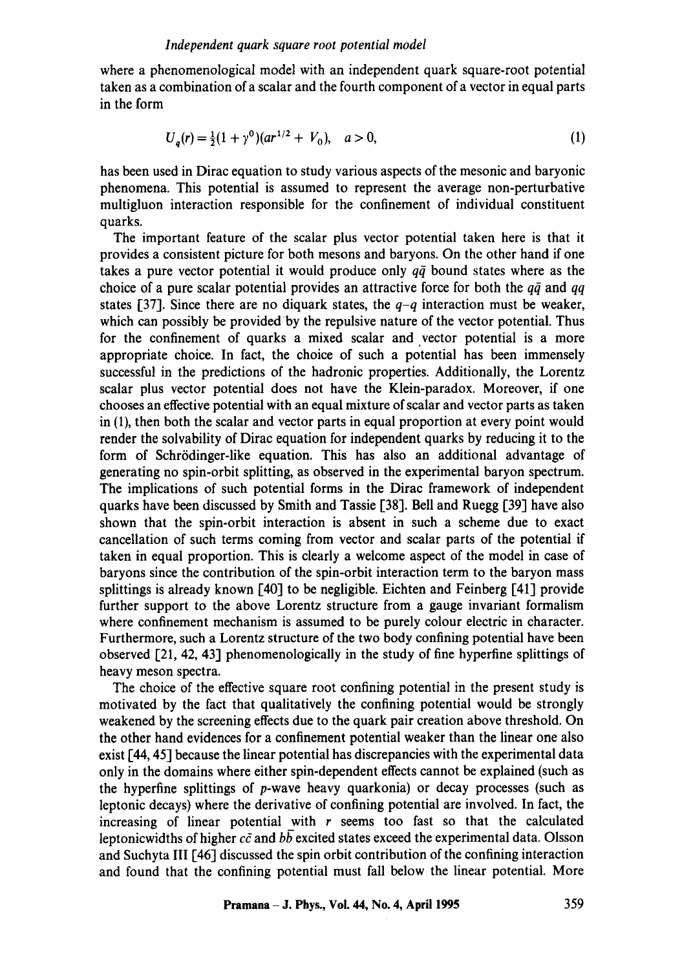where a phenomenological model with an independent quark square-root potential taken as a combination of a scalar and the fourth component of a vector in equal parts in the form

$$
U_a(r) = \frac{1}{2}(1+\gamma^0)(ar^{1/2}+V_0), \quad a > 0,
$$
\n(1)

has been used in Dirac equation to study various aspects of the mesonic and baryonic phenomena. This potential is assumed to represent the average non-perturbative multigluon interaction responsible for the confinement of individual constituent quarks.

The important feature of the scalar plus vector potential taken here is that it provides a consistent picture for both mesons and baryons. On the other hand if one takes a pure vector potential it would produce only  $q\bar{q}$  bound states where as the choice of a pure scalar potential provides an attractive force for both the  $q\bar{q}$  and  $qq$ states [37]. Since there are no diquark states, the *q-q* interaction must be weaker, which can possibly be provided by the repulsive nature of the vector potential. Thus for the confinement of quarks a mixed scalar and vector potential is a more appropriate choice. In fact, the choice of such a potential has been immensely successful in the predictions of the hadronic properties. Additionally, the Lorentz scalar plus vector potential does not have the Klein-paradox. Moreover, if one chooses an effective potential with an equal mixture of scalar and vector parts as taken in (1), then both the scalar and vector parts in equal proportion at every point would render the solvability of Dirac equation for independent quarks by reducing it to the form of Schrödinger-like equation. This has also an additional advantage of generating no spin-orbit splitting, as observed in the experimental baryon spectrum. The implications of such potential forms in the Dirac framework of independent quarks have been discussed by Smith and Tassie [38]. Bell and Ruegg [39] have also shown that the spin-orbit interaction is absent in such a scheme due to exact cancellation of such terms coming from vector and scalar parts of the potential if taken in equal proportion. This is clearly a welcome aspect of the model in case of baryons since the contribution of the spin-orbit interaction term to the baryon mass splittings is already known [40] to be negligible. Eichten and Feinberg [41] provide further support to the above Lorentz structure from a gauge invariant formalism where confinement mechanism is assumed to be purely colour electric in character. Furthermore, such a Lorentz structure of the two body confining potential have been observed [21, 42, 43] phenomenologically in the study of fine hyperfine splittings of heavy meson spectra.

The choice of the effective square root confining potential in the present study is motivated by the fact that qualitatively the confining potential would be strongly weakened by the screening effects due to the quark pair creation above threshold. On the other hand evidences for a confinement potential weaker than the linear one also exist [44, 45] because the linear potential has discrepancies with the experimental data only in the domains where either spin-dependent effects cannot be explained (such as the hyperfine splittings of p-wave heavy quarkonia) or decay processes (such as leptonic decays) where the derivative of confining potential are involved. In fact, the increasing of linear potential with  $r$  seems too fast so that the calculated leptonicwidths of higher  $c\bar{c}$  and  $b\bar{b}$  excited states exceed the experimental data. Olsson and Suchyta III [46] discussed the spin orbit contribution of the confining interaction and found that the confining potential must fall below the linear potential. More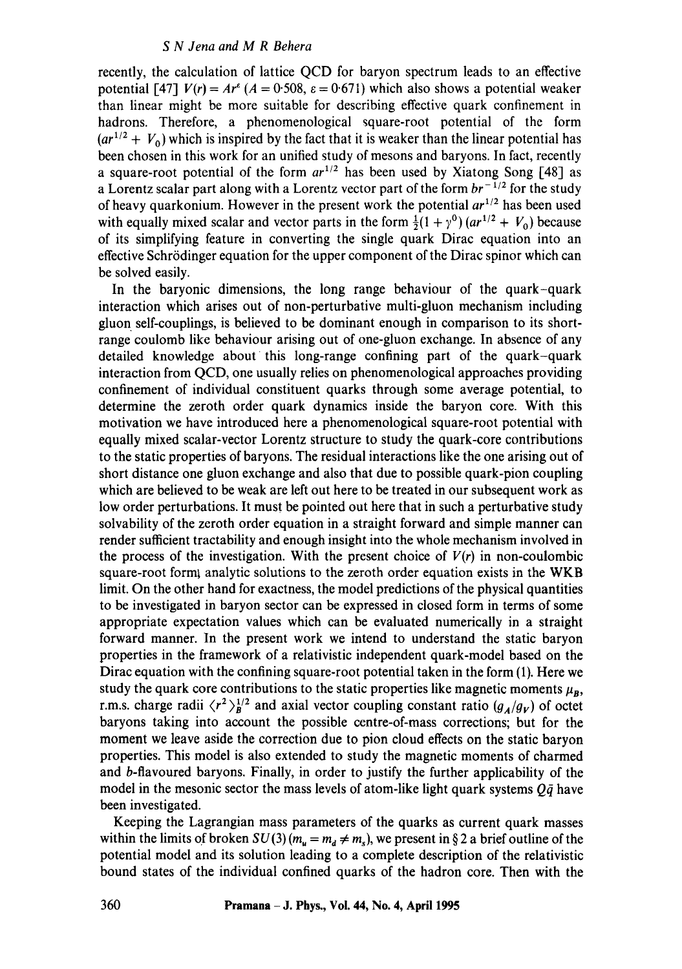recently, the calculation of lattice QCD for baryon spectrum leads to an effective potential [47]  $V(r) = Ar^{\epsilon} (A = 0.508, \epsilon = 0.671)$  which also shows a potential weaker than linear might be more suitable for describing effective quark confinement in hadrons. Therefore, a phenomenological square-root potential of the form  $(ar^{1/2} + V_0)$  which is inspired by the fact that it is weaker than the linear potential has been chosen in this work for an unified study of mesons and baryons. In fact, recently a square-root potential of the form  $ar^{1/2}$  has been used by Xiatong Song [48] as a Lorentz scalar part along with a Lorentz vector part of the form  $br^{-1/2}$  for the study of heavy quarkonium. However in the present work the potential  $ar^{1/2}$  has been used with equally mixed scalar and vector parts in the form  $\frac{1}{2}(1 + \gamma^0) (ar^{1/2} + V_0)$  because of its simplifying feature in converting the single quark Dirac equation into an effective Schrödinger equation for the upper component of the Dirac spinor which can be solved easily.

In the baryonic dimensions, the long range behaviour of the quark-quark interaction which arises out of non-perturbative multi-gluon mechanism including gluon self-couplings, is believed to be dominant enough in comparison to its shortrange coulomb like behaviour arising out of one-gluon exchange. In absence of any detailed knowledge about this long-range confining part of the quark-quark interaction from QCD, one usually relies on phenomenological approaches providing confinement of individual constituent quarks through some average potential, to determine the zeroth order quark dynamics inside the baryon core. With this motivation we have introduced here a phenomenological square-root potential with equally mixed scalar-vector Lorentz structure to study the quark-core contributions to the static properties of baryons. The residual interactions like the one arising out of short distance one gluon exchange and also that due to possible quark-pion coupling which are believed to be weak are left out here to be treated in our subsequent work as low order perturbations. It must be pointed out here that in such a perturbative study solvability of the zeroth order equation in a straight forward and simple manner can render sufficient tractability and enough insight into the whole mechanism involved in the process of the investigation. With the present choice of  $V(r)$  in non-coulombic square-root forml analytic solutions to the zeroth order equation exists in the WKB limit. On the other hand for exactness, the model predictions of the physical quantities to be investigated in baryon sector can be expressed in closed form in terms of some appropriate expectation values which can be evaluated numerically in a straight forward manner. In the present work we intend to understand the static baryon properties in the framework of a relativistic independent quark-model based on the Dirac equation with the confining square-root potential taken in the form (1). Here we study the quark core contributions to the static properties like magnetic moments  $\mu_B$ , r.m.s. charge radii  $\langle r^2 \rangle_R^{1/2}$  and axial vector coupling constant ratio  $(g_A/g_V)$  of octet baryons taking into account the possible centre-of-mass corrections; but for the moment we leave aside the correction due to pion cloud effects on the static baryon properties. This model is also extended to study the magnetic moments of charmed and b-flavoured baryons. Finally, in order to justify the further applicability of the model in the mesonic sector the mass levels of atom-like light quark systems  $Q\bar{q}$  have been investigated.

Keeping the Lagrangian mass parameters of the quarks as current quark masses within the limits of broken  $SU(3)$  ( $m_u = m_d \neq m_s$ ), we present in § 2 a brief outline of the potential model and its solution leading to a complete description of the relativistic bound states of the individual confined quarks of the hadron core. Then with the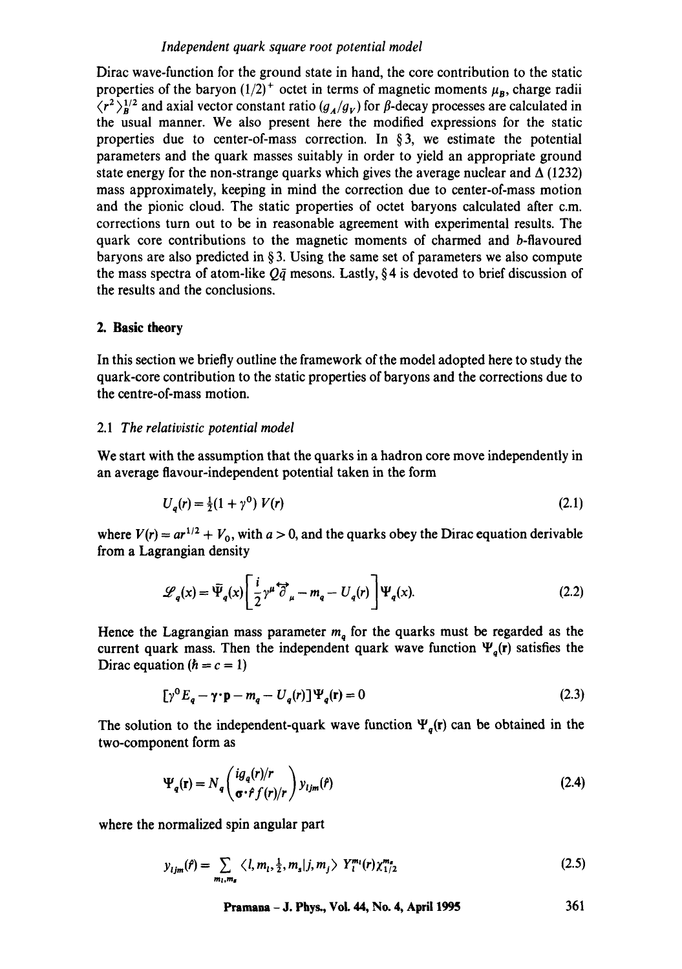## *Independent quark square root potential model*

Dirac wave-function for the ground state in hand, the core contribution to the static properties of the baryon  $(1/2)^+$  octet in terms of magnetic moments  $\mu_B$ , charge radii  $\langle r^2 \rangle_n^{1/2}$  and axial vector constant ratio  $(g_A/g_V)$  for  $\beta$ -decay processes are calculated in the usual manner. We also present here the modified expressions for the static properties due to center-of-mass correction. In  $\S$ 3, we estimate the potential parameters and the quark masses suitably in order to yield an appropriate ground state energy for the non-strange quarks which gives the average nuclear and  $\Delta$  (1232) mass approximately, keeping in mind the correction due to center-of-mass motion and the pionic cloud. The static properties of octet baryons calculated after c.m. corrections turn out to be in reasonable agreement with experimental results. The quark core contributions to the magnetic moments of charmed and b-flavoured baryons are also predicted in  $\S$ 3. Using the same set of parameters we also compute the mass spectra of atom-like  $Q\bar{q}$  mesons. Lastly, § 4 is devoted to brief discussion of the results and the conclusions.

## **2. Basic theory**

In this section we briefly outline the framework of the model adopted here to study the quark-core contribution to the static properties of baryons and the corrections due to the centre-of-mass motion.

#### 2.1 *The relativistic potential model*

We start with the assumption that the quarks in a hadron core move independently in an average flavour-independent potential taken in the form

$$
U_q(r) = \frac{1}{2}(1 + \gamma^0) V(r)
$$
\n(2.1)

where  $V(r) = ar^{1/2} + V_0$ , with  $a > 0$ , and the quarks obey the Dirac equation derivable from a Lagrangian density

$$
\mathcal{L}_q(x) = \bar{\Psi}_q(x) \left[ \frac{i}{2} \gamma^{\mu} \overleftrightarrow{\partial}_{\mu} - m_q - U_q(r) \right] \Psi_q(x). \tag{2.2}
$$

Hence the Lagrangian mass parameter  $m_q$  for the quarks must be regarded as the current quark mass. Then the independent quark wave function  $\Psi_q(\mathbf{r})$  satisfies the Dirac equation  $(h = c = 1)$ 

$$
[\gamma^0 E_q - \gamma \cdot \mathbf{p} - m_q - U_q(r)] \Psi_q(\mathbf{r}) = 0
$$
\n(2.3)

The solution to the independent-quark wave function  $\Psi_q(\mathbf{r})$  can be obtained in the two-component form as

$$
\Psi_q(\mathbf{r}) = N_q \left( \frac{ig_q(r)/r}{\sigma \cdot \hat{r} f(r)/r} \right) y_{ijm}(\hat{r})
$$
\n(2.4)

where the normalized spin angular part

$$
y_{ijm}(\hat{r}) = \sum_{m_i, m_s} \langle l, m_i, \frac{1}{2}, m_s | j, m_j \rangle Y_i^{m_i}(r) \chi_{1/2}^{m_s}
$$
 (2.5)

**Pramana - J. Phys., Vol. 44, No. 4, April 1995 361**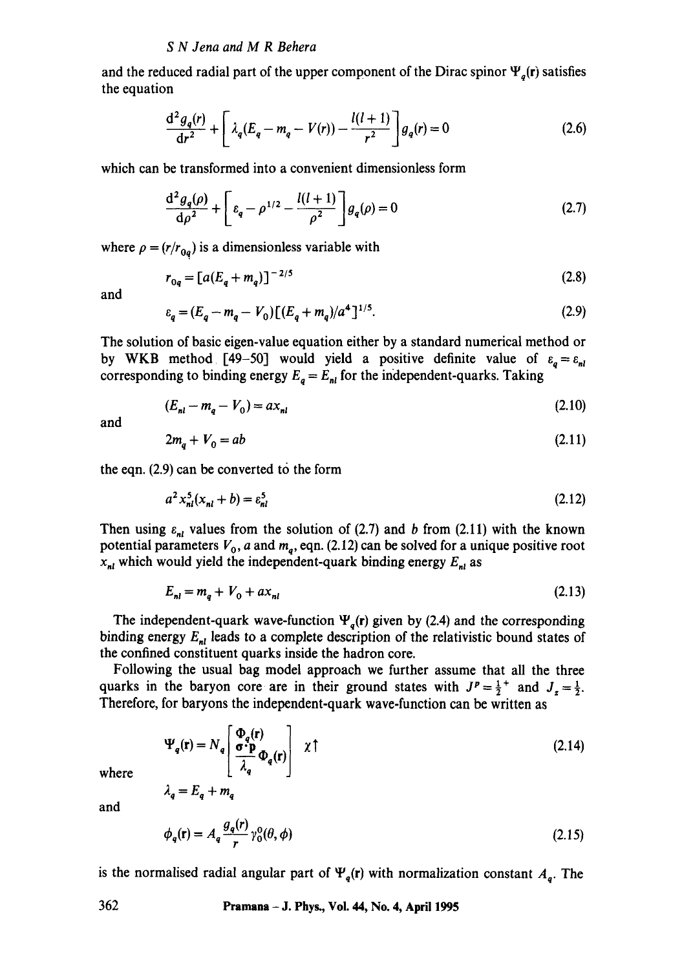and the reduced radial part of the upper component of the Dirac spinor  $\Psi_q(\mathbf{r})$  satisfies the equation

$$
\frac{d^2 g_q(r)}{dr^2} + \left[ \lambda_q (E_q - m_q - V(r)) - \frac{l(l+1)}{r^2} \right] g_q(r) = 0 \tag{2.6}
$$

which can be transformed into a convenient dimensionless form

$$
\frac{d^2 g_q(\rho)}{d\rho^2} + \left[ \varepsilon_q - \rho^{1/2} - \frac{l(l+1)}{\rho^2} \right] g_q(\rho) = 0 \tag{2.7}
$$

where  $\rho = (r/r_{0q})$  is a dimensionless variable with

$$
r_{0q} = [a(E_q + m_q)]^{-2/5}
$$
 (2.8)

and

$$
\varepsilon_q = (E_q - m_q - V_0) \left[ (E_q + m_q)/a^4 \right]^{1/5}.
$$
\n(2.9)

The solution of basic eigen-value equation either by a standard numerical method or by WKB method [49-50] would yield a positive definite value of  $\varepsilon_q = \varepsilon_{nl}$ corresponding to binding energy  $E_a = E_{nl}$  for the independent-quarks. Taking

$$
(E_{nl} - m_q - V_0) = ax_{nl} \tag{2.10}
$$

and

$$
2m_a + V_0 = ab \tag{2.11}
$$

the eqn. (2.9) can be converted to the form

$$
a^2 x_{nl}^5(x_{nl} + b) = \varepsilon_{nl}^5 \tag{2.12}
$$

Then using  $\varepsilon_{nl}$  values from the solution of (2.7) and b from (2.11) with the known potential parameters  $V_0$ , a and  $m_q$ , eqn. (2.12) can be solved for a unique positive root  $x_{nl}$  which would yield the independent-quark binding energy  $E_{nl}$  as

$$
E_{nl} = m_q + V_0 + ax_{nl} \tag{2.13}
$$

The independent-quark wave-function  $\Psi_a(r)$  given by (2.4) and the corresponding binding energy  $E_{nl}$  leads to a complete description of the relativistic bound states of the confined constituent quarks inside the hadron core.

Following the usual bag model approach we further assume that all the three quarks in the baryon core are in their ground states with  $J^p = \frac{1}{2}^+$  and  $J_z = \frac{1}{2}$ . Therefore, for baryons the independent-quark wave-function can be written as

$$
\Psi_q(\mathbf{r}) = N_q \left[ \frac{\Phi_q(\mathbf{r})}{\lambda_q} \Phi_q(\mathbf{r}) \right] \chi \uparrow
$$
\n(2.14)

where

 $\lambda_q = E_q + m_q$ 

and

$$
\phi_q(\mathbf{r}) = A_q \frac{g_q(r)}{r} \gamma_0^0(\theta, \phi) \tag{2.15}
$$

is the normalised radial angular part of  $\Psi_q(r)$  with normalization constant  $A_q$ . The

**362 Pramana - J. Phys., Vol. 44, No. 4, April 1995**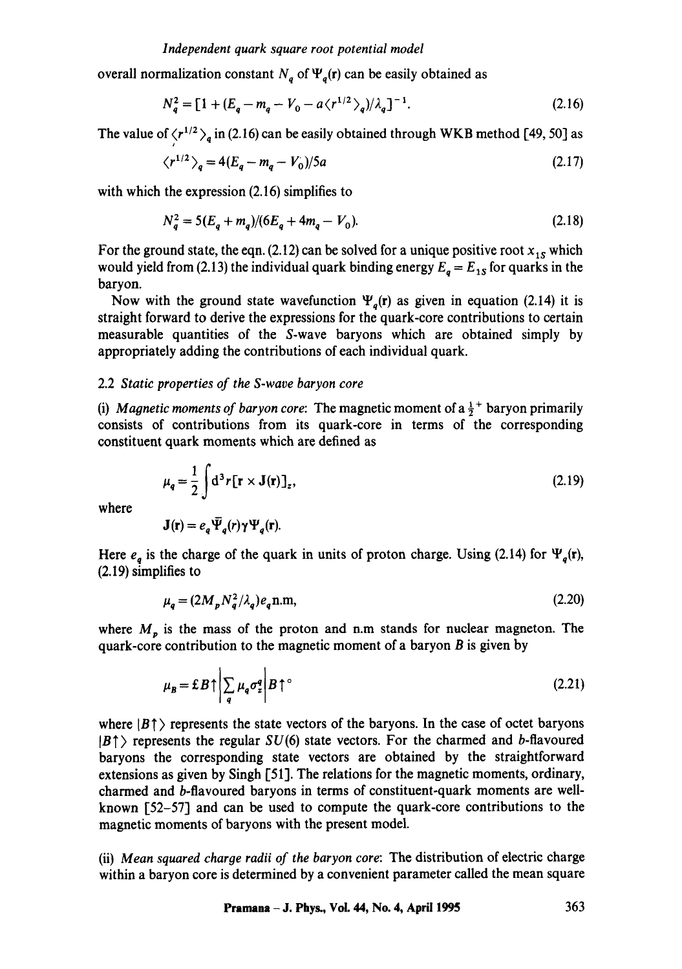overall normalization constant  $N_a$  of  $\Psi_a(r)$  can be easily obtained as

$$
N_q^2 = [1 + (E_q - m_q - V_0 - a\langle r^{1/2} \rangle_q)/\lambda_q]^{-1}.
$$
 (2.16)

The value of  $\langle r^{1/2} \rangle_q$  in (2.16) can be easily obtained through WKB method [49, 50] as

$$
\langle r^{1/2} \rangle_q = 4(E_q - m_q - V_0)/5a \tag{2.17}
$$

with which the expression (2.16) simplifies to

J

$$
N_q^2 = 5(E_q + m_q)/(6E_q + 4m_q - V_0). \tag{2.18}
$$

For the ground state, the eqn.  $(2.12)$  can be solved for a unique positive root  $x_{1s}$  which would yield from (2.13) the individual quark binding energy  $E_a = E_{1S}$  for quarks in the baryon.

Now with the ground state wavefunction  $\Psi_a(\mathbf{r})$  as given in equation (2.14) it is straight forward to derive the expressions for the quark-core contributions to certain measurable quantities of the S-wave baryons which are obtained simply by appropriately adding the contributions of each individual quark.

## 2.2 *Static properties of the S-wave baryon core*

(i) *Magnetic moments of baryon core*: The magnetic moment of  $a \frac{1}{2}^+$  baryon primarily consists of contributions from its quark-core in terms of the corresponding constituent quark moments which are defined as

$$
\mu_q = \frac{1}{2} \int d^3 r [\mathbf{r} \times \mathbf{J}(\mathbf{r})]_z, \tag{2.19}
$$

where

$$
\mathbf{J}(\mathbf{r})=e_q\vec{\Psi}_q(r)\gamma\Psi_q(\mathbf{r}).
$$

 $\mathbf{r}$ 

Here  $e_q$  is the charge of the quark in units of proton charge. Using (2.14) for  $\Psi_q(\mathbf{r})$ , (2.19) simplifies to

$$
\mu_{\mathbf{g}} = (2M_p N_{\mathbf{g}}^2 / \lambda_{\mathbf{g}}) e_{\mathbf{g}} \mathbf{n}.\mathbf{m},\tag{2.20}
$$

where  $M_p$  is the mass of the proton and n.m stands for nuclear magneton. The quark-core contribution to the magnetic moment of a baryon  $B$  is given by

$$
\mu_B = \pounds B \uparrow \left| \sum_q \mu_q \sigma_z^q \right| B \uparrow^{\circ} \tag{2.21}
$$

where  $|B|$  ) represents the state vectors of the baryons. In the case of octet baryons  $|B|$  represents the regular  $SU(6)$  state vectors. For the charmed and b-flavoured baryons the corresponding state vectors are obtained by the straightforward extensions as given by Singh [51]. The relations for the magnetic moments, ordinary, charmed and b-flavoured baryons in terms of constituent-quark moments are wellknown [52-57] and can be used to compute the quark-core contributions to the magnetic moments of baryons with the present model.

(ii) *Mean squared charge radii of the baryon core:* The distribution of electric charge within a baryon core is determined by a convenient parameter called the mean square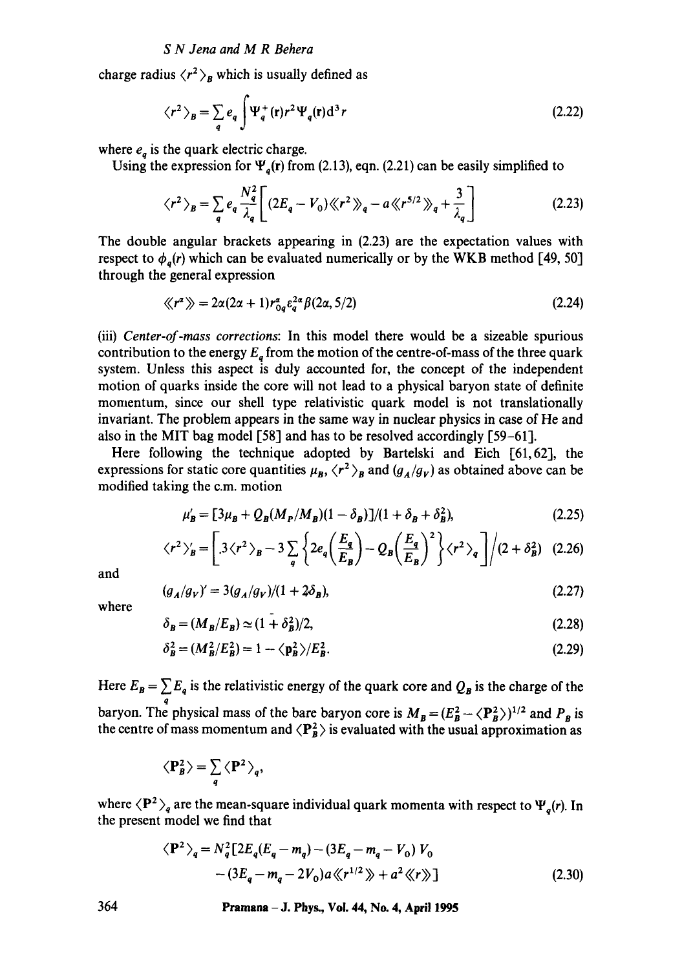charge radius  $\langle r^2 \rangle_B$  which is usually defined as

$$
\langle r^2 \rangle_B = \sum_q e_q \int \Psi_q^+(\mathbf{r}) r^2 \Psi_q(\mathbf{r}) d^3 r \tag{2.22}
$$

where  $e_a$  is the quark electric charge.

Using the expression for  $\Psi_a(r)$  from (2.13), eqn. (2.21) can be easily simplified to

$$
\langle r^2 \rangle_B = \sum_q e_q \frac{N_q^2}{\lambda_q} \bigg[ (2E_q - V_0) \langle \langle r^2 \rangle \rangle_q - a \langle \langle r^{5/2} \rangle \rangle_q + \frac{3}{\lambda_q} \bigg] \tag{2.23}
$$

The double angular brackets appearing in (2.23) are the expectation values with respect to  $\phi_a(r)$  which can be evaluated numerically or by the WKB method [49, 50] through the general expression

$$
\langle \langle r^{\alpha} \rangle \rangle = 2\alpha (2\alpha + 1) r_{0q}^{\alpha} \varepsilon_q^{2\alpha} \beta (2\alpha, 5/2)
$$
 (2.24)

(iii) *Center-of-mass corrections:* In this model there would be a sizeable spurious contribution to the energy  $E_a$  from the motion of the centre-of-mass of the three quark system. Unless this aspect is duly accounted for, the concept of the independent motion of quarks inside the core will not lead to a physical baryon state of definite momentum, since our shell type relativistic quark model is not translationally invariant. The problem appears in the same way in nuclear physics in case of He and also in the MIT bag model [58] and has to be resolved accordingly [59-61].

Here following the technique adopted by Bartelski and Eich [61,62], the expressions for static core quantities  $\mu_B$ ,  $\langle r^2 \rangle_B$  and  $(g_A/g_V)$  as obtained above can be modified taking the c.m. motion

$$
\mu'_{B} = [3\mu_{B} + Q_{B}(M_{P}/M_{B})(1 - \delta_{B})]/(1 + \delta_{B} + \delta_{B}^{2}), \qquad (2.25)
$$

$$
\langle r^2 \rangle'_B = \left[ .3 \langle r^2 \rangle_B - 3 \sum_q \left\{ 2e_q \left( \frac{E_q}{E_B} \right) - Q_B \left( \frac{E_q}{E_B} \right)^2 \right\} \langle r^2 \rangle_q \right] \Big/ (2 + \delta_B^2) \quad (2.26)
$$

and

$$
(g_A/g_V)' = 3(g_A/g_V)/(1 + 2\delta_B),
$$
\n(2.27)

where

$$
\delta_B = (M_B/E_B) \simeq (1 + \delta_B^2)/2,\tag{2.28}
$$

$$
\delta_B^2 = (M_B^2/E_B^2) = 1 - \langle \mathbf{p}_B^2 \rangle / E_B^2. \tag{2.29}
$$

Here  $E_B = \sum E_q$  is the relativistic energy of the quark core and  $Q_B$  is the charge of the q baryon. The physical mass of the bare baryon core is  $M_B = (E_B^2 - \langle \mathbf{P}_B^2 \rangle)^{1/2}$  and  $P_B$  is the centre of mass momentum and  $\langle P_B^2 \rangle$  is evaluated with the usual approximation as

$$
\langle P_B^2 \rangle = \sum_q \langle P^2 \rangle_q,
$$

where  $\langle P^2 \rangle_q$  are the mean-square individual quark momenta with respect to  $\Psi_q(r)$ . In the present model we find that

$$
\langle \mathbf{P}^2 \rangle_q = N_q^2 \left[ 2E_q (E_q - m_q) - (3E_q - m_q - V_0) V_0 - (3E_q - m_q - 2V_0) a \langle r^{1/2} \rangle + a^2 \langle r \rangle \right]
$$
(2.30)

364 Pramana - J. Phys., Vol. 44, No. 4, April 1995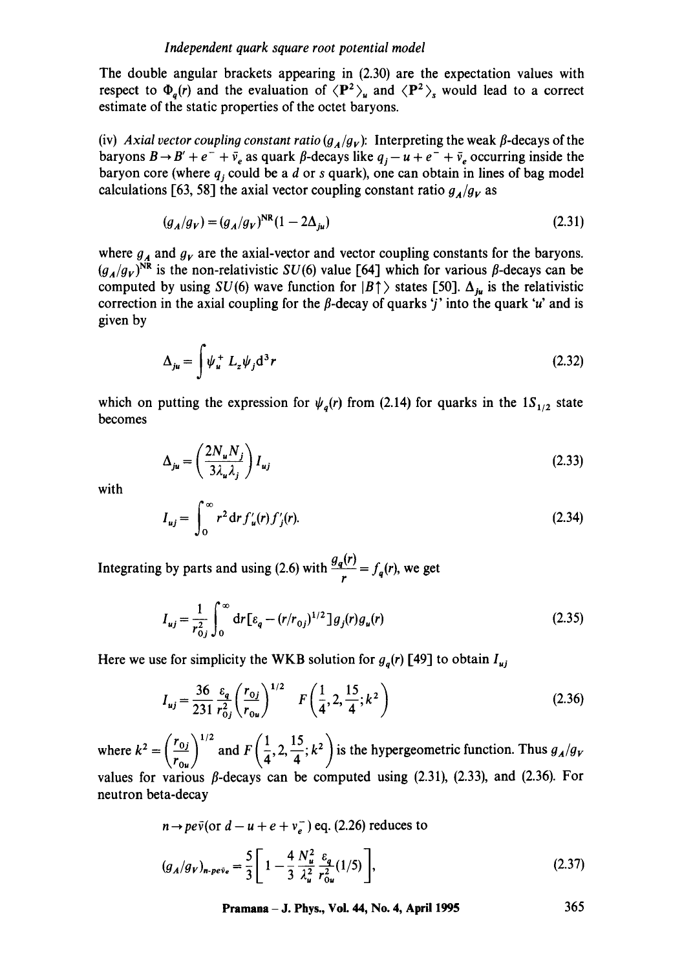The double angular brackets appearing in (2.30) are the expectation values with respect to  $\Phi_q(r)$  and the evaluation of  $\langle \mathbf{P}^2 \rangle_u$  and  $\langle \mathbf{P}^2 \rangle_s$  would lead to a correct estimate of the static properties of the octet baryons.

(iv) *Axial vector coupling constant ratio*  $(g_A/g_V)$ *:* Interpreting the weak  $\beta$ -decays of the baryons  $B \to B' + e^- + \bar{\nu}_e$  as quark  $\beta$ -decays like  $q_j - u + e^- + \bar{\nu}_e$  occurring inside the baryon core (where  $q_i$  could be a  $d$  or  $s$  quark), one can obtain in lines of bag model calculations [63, 58] the axial vector coupling constant ratio  $g_A/g_V$  as

$$
(g_A/g_V) = (g_A/g_V)^{\text{NR}} (1 - 2\Delta_{j\mu})
$$
\n(2.31)

where  $g_A$  and  $g_V$  are the axial-vector and vector coupling constants for the baryons.  $(g_A/g_V)$ <sup>NR</sup> is the non-relativistic SU(6) value [64] which for various  $\beta$ -decays can be computed by using SU(6) wave function for  $|B|$  states [50].  $\Delta_{ju}$  is the relativistic correction in the axial coupling for the  $\beta$ -decay of quarks '*j*' into the quark '*u*' and is given by

$$
\Delta_{ju} = \int \psi_u^+ L_z \psi_j \mathrm{d}^3 r \tag{2.32}
$$

which on putting the expression for  $\psi_a(r)$  from (2.14) for quarks in the  $1S_{1/2}$  state becomes

$$
\Delta_{ju} = \left(\frac{2N_u N_j}{3\lambda_u \lambda_j}\right) I_{uj} \tag{2.33}
$$

with

$$
I_{uj} = \int_0^\infty r^2 dr f'_u(r) f'_j(r). \tag{2.34}
$$

Integrating by parts and using (2.6) with  $\frac{g_q(x)}{r} = f_q(r)$ , we get

$$
I_{uj} = \frac{1}{r_{0j}^2} \int_0^\infty dr \left[ \varepsilon_q - (r/r_{0j})^{1/2} \right] g_j(r) g_u(r) \tag{2.35}
$$

Here we use for simplicity the WKB solution for  $g_q(r)$  [49] to obtain  $I_{uj}$ 

$$
I_{uj} = \frac{36}{231} \frac{\varepsilon_q}{r_{0j}^2} \left(\frac{r_{0j}}{r_{0u}}\right)^{1/2} \quad F\left(\frac{1}{4}, 2, \frac{15}{4}; k^2\right) \tag{2.36}
$$

where  $k^2 = \left(\frac{r_{0j}}{r_{0u}}\right)^{1/2}$  and  $F\left(\frac{1}{4}, 2, \frac{15}{4}; k^2\right)$  is the hypergeometric function. Thus  $g_A/g_V$ values for various  $\beta$ -decays can be computed using (2.31), (2.33), and (2.36). For neutron beta-decay

$$
n \rightarrow pe\bar{v} \text{(or } d - u + e + v_e^-) \text{ eq. (2.26) reduces to}
$$
  

$$
(g_A/g_V)_{n\text{-}pe\bar{v}_e} = \frac{5}{3} \left[ 1 - \frac{4}{3} \frac{N_u^2}{\lambda_u^2} \frac{\varepsilon_q}{r_{0u}^2} (1/5) \right],
$$
 (2.37)

**Pramana - J. Phys., Vol. 44, No. 4, April 1995 365**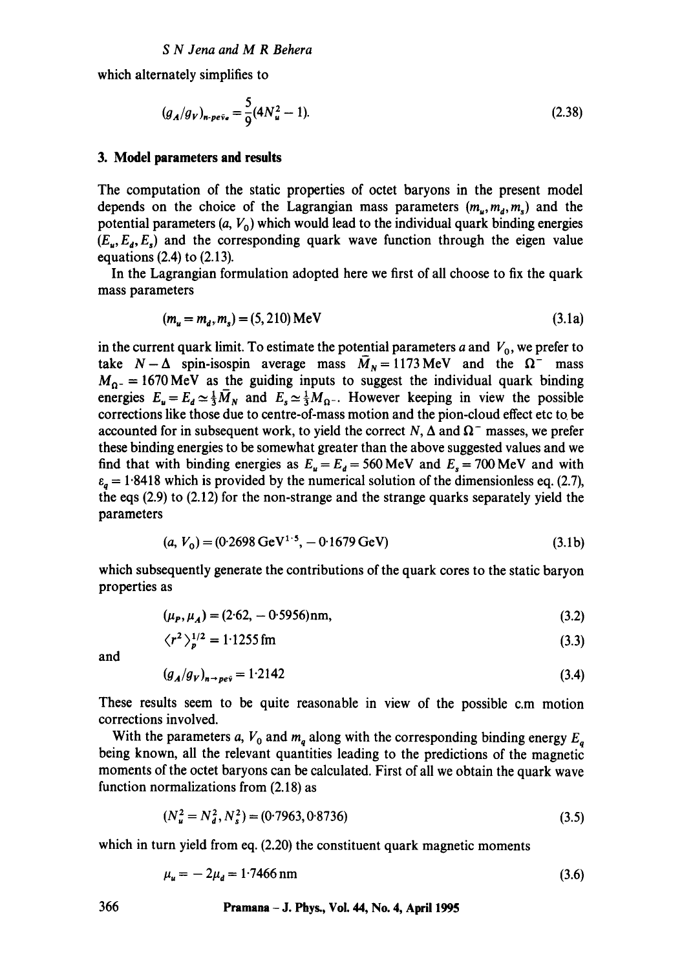which alternately simplifies to

$$
(g_A/g_V)_{n\text{-}pe\bar{v}_e} = \frac{5}{9}(4N_u^2 - 1). \tag{2.38}
$$

## **3. Model parameters and results**

The computation of the static properties of octet baryons in the present model depends on the choice of the Lagrangian mass parameters  $(m_u, m_d, m_s)$  and the potential parameters  $(a, V_0)$  which would lead to the individual quark binding energies  $(E_u, E_d, E_s)$  and the corresponding quark wave function through the eigen value equations (2.4) to (2.13).

In the Lagrangian formulation adopted here we first of all choose to fix the quark mass parameters

$$
(m_u = m_d, m_s) = (5, 210) \text{ MeV}
$$
 (3.1a)

in the current quark limit. To estimate the potential parameters a and  $V_0$ , we prefer to take  $N-\Delta$  spin-isospin average mass  $\overline{M}_N=1173 \text{ MeV}$  and the  $\Omega^-$  mass  $M_{\Omega}$  = 1670 MeV as the guiding inputs to suggest the individual quark binding energies  $E_u = E_d \simeq \frac{1}{3}\overline{M}_N$  and  $E_s \simeq \frac{1}{3}M_{\Omega^{-}}$ . However keeping in view the possible corrections like those due to centre-of-mass motion and the pion-cloud effect etc to. be accounted for in subsequent work, to yield the correct N,  $\Delta$  and  $\Omega^-$  masses, we prefer these binding energies to be somewhat greater than the above suggested values and we find that with binding energies as  $E_u = E_d = 560 \text{ MeV}$  and  $E_s = 700 \text{ MeV}$  and with  $\varepsilon_a = 1.8418$  which is provided by the numerical solution of the dimensionless eq. (2.7), the eqs (2.9) to (2.12) for the non-strange and the strange quarks separately yield the parameters

$$
(a, V_0) = (0.2698 \,\text{GeV}^{1.5}, -0.1679 \,\text{GeV})\tag{3.1b}
$$

which subsequently generate the contributions of the quark cores to the static baryon properties as

$$
(\mu_P, \mu_A) = (2.62, -0.5956) \text{nm},\tag{3.2}
$$

$$
\langle r^2 \rangle_p^{1/2} = 1.1255 \,\text{fm} \tag{3.3}
$$

and

$$
(g_A/g_V)_{n \to \rho e\bar{v}} = 1.2142 \tag{3.4}
$$

These results seem to be quite reasonable in view of the possible c.m motion corrections involved.

With the parameters a,  $V_0$  and  $m_q$  along with the corresponding binding energy  $E_q$ being known, all the relevant quantities leading to the predictions of the magnetic moments of the octet baryons can be calculated. First of all we obtain the quark wave function normalizations from (2.18) as

$$
(N_u^2 = N_d^2, N_s^2) = (0.7963, 0.8736)
$$
\n
$$
(3.5)
$$

which in turn yield from eq.  $(2.20)$  the constituent quark magnetic moments

$$
\mu_u = -2\mu_d = 1.7466 \,\text{nm} \tag{3.6}
$$

**366 Pramana - J. Phys., Vol. 44, No. 4, April 1995**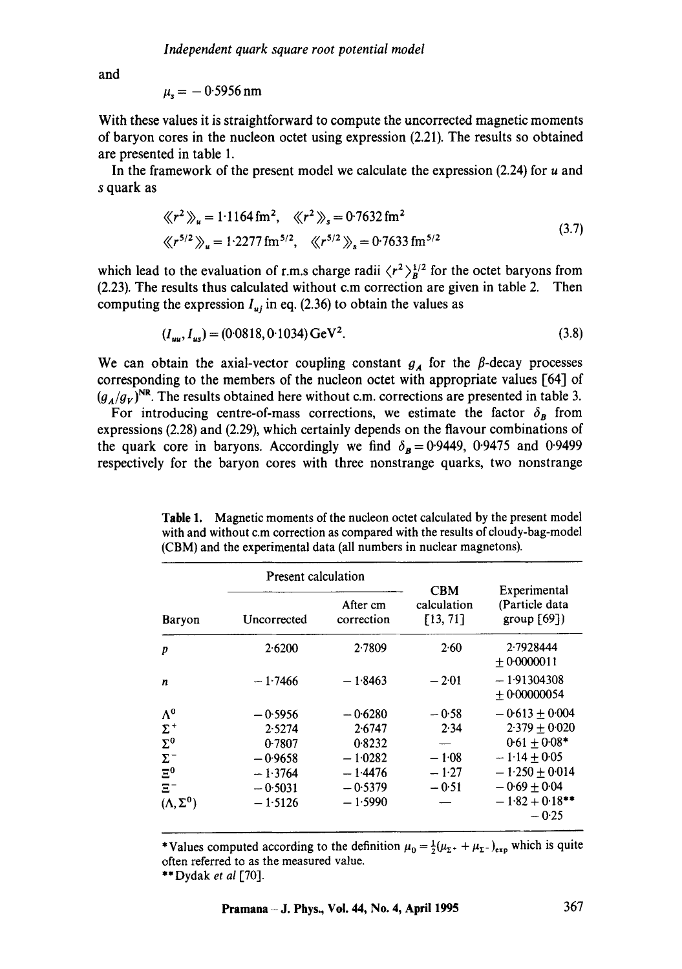and

$$
\mu_{\rm s} = -0.5956 \,\rm nm
$$

With these values it is straightforward to compute the uncorrected magnetic moments of baryon cores in the nucleon octet using expression (2.21). The results so obtained are presented in table 1.

In the framework of the present model we calculate the expression  $(2.24)$  for u and s quark as

$$
\langle r^2 \rangle_u = 1.1164 \, \text{fm}^2, \quad \langle r^2 \rangle_s = 0.7632 \, \text{fm}^2
$$
\n
$$
\langle r^{5/2} \rangle_u = 1.2277 \, \text{fm}^{5/2}, \quad \langle r^{5/2} \rangle_s = 0.7633 \, \text{fm}^{5/2}
$$
\n(3.7)

which lead to the evaluation of r.m.s charge radii  $\langle r^2 \rangle_R^{1/2}$  for the octet baryons from (2.23). The results thus calculated without c.m correction are given in table 2. Then computing the expression  $I_{uj}$  in eq. (2.36) to obtain the values as

$$
(I_{uu}, I_{us}) = (0.0818, 0.1034) \,\text{GeV}^2. \tag{3.8}
$$

We can obtain the axial-vector coupling constant  $g_A$  for the  $\beta$ -decay processes corresponding to the members of the nucleon octet with appropriate values [64] of  $(g_A/g_V)$ <sup>NR</sup>. The results obtained here without c.m. corrections are presented in table 3.

For introducing centre-of-mass corrections, we estimate the factor  $\delta_{\bf B}$  from expressions (2.28) and (2.29), which certainly depends on the flavour combinations of the quark core in baryons. Accordingly we find  $\delta_B = 0.9449$ , 0.9475 and 0.9499 respectively for the baryon cores with three nonstrange quarks, two nonstrange

**Table** 1. Magnetic moments of the nucleon octet calculated by the present model with and without c.m correction as compared with the results of cloudy-bag-model (CBM) and the experimental data (all numbers in nuclear magnetons).

|                                                                                                    | Present calculation                                                               |                                                                                   |                                                  |                                                                                                                                                   |
|----------------------------------------------------------------------------------------------------|-----------------------------------------------------------------------------------|-----------------------------------------------------------------------------------|--------------------------------------------------|---------------------------------------------------------------------------------------------------------------------------------------------------|
| Baryon                                                                                             | Uncorrected                                                                       | After cm<br>correction                                                            | <b>CBM</b><br>calculation<br>[13, 71]            | Experimental<br>(Particle data<br>group $[69]$                                                                                                    |
| p                                                                                                  | 2.6200                                                                            | 2.7809                                                                            | 2.60                                             | 2.7928444<br>$+0.0000011$                                                                                                                         |
| n                                                                                                  | $-1.7466$                                                                         | $-1.8463$                                                                         | $-2.01$                                          | $-1.91304308$<br>$+0.00000054$                                                                                                                    |
| $\Lambda^0$<br>$\Sigma^+$<br>$\Sigma^0$<br>$\Sigma^-$<br>$E^0$<br>$\Xi^-$<br>$(\Lambda, \Sigma^0)$ | $-0.5956$<br>2.5274<br>0.7807<br>$-0.9658$<br>$-1.3764$<br>$-0.5031$<br>$-1.5126$ | $-0.6280$<br>2.6747<br>0.8232<br>$-1.0282$<br>$-1.4476$<br>$-0.5379$<br>$-1.5990$ | $-0.58$<br>2.34<br>$-1.08$<br>$-1.27$<br>$-0.51$ | $-0.613 \pm 0.004$<br>$2.379 + 0.020$<br>$0.61 + 0.08*$<br>$-1.14 \pm 0.05$<br>$-1.250 + 0.014$<br>$-0.69 + 0.04$<br>$-1.82 + 0.18$ **<br>$-0.25$ |

\*Values computed according to the definition  $\mu_0 = \frac{1}{2}(\mu_{\Sigma^+} + \mu_{\Sigma^-})_{\text{exp}}$  which is quite often referred to as the measured value.

<sup>\*\*</sup>Dydak *et al* [70].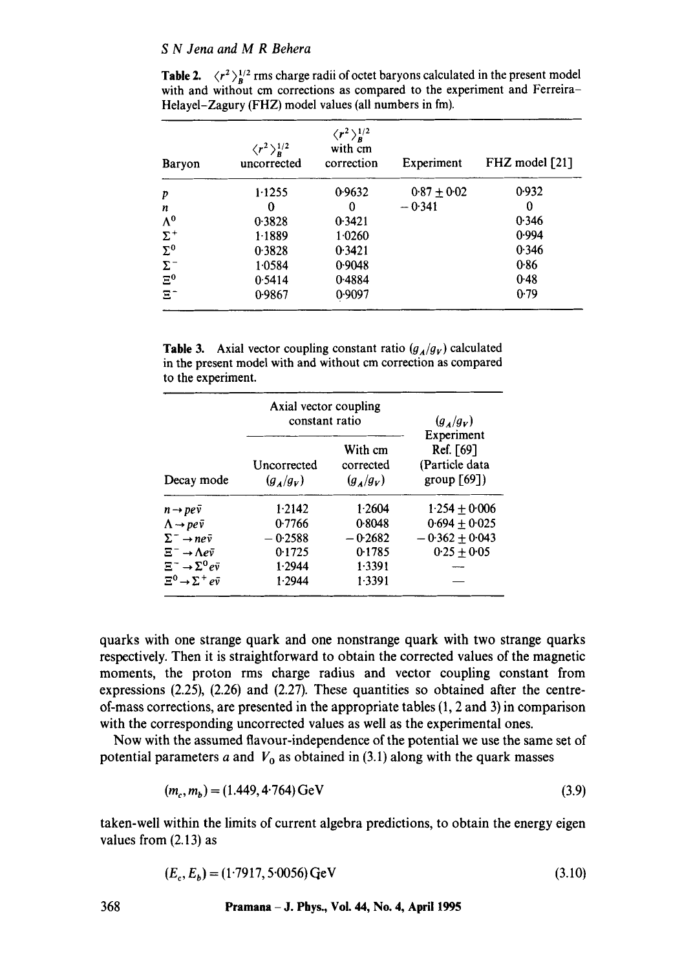**Table 2.**  $\langle r^2 \rangle_p^{1/2}$  rms charge radii of octet baryons calculated in the present model with and without cm corrections as compared to the experiment and Ferreira-Helayel-Zagury (FHZ) model values (all numbers in fm).

| Baryon      | $\langle r^2\rangle_R^{1/2}$<br>uncorrected | $\langle r^2\rangle_R^{1/2}$<br>with cm<br>correction | Experiment      | FHZ model [21] |
|-------------|---------------------------------------------|-------------------------------------------------------|-----------------|----------------|
| p           | 1.1255                                      | 0.9632                                                | $0.87 \pm 0.02$ | 0.932          |
| n           | 0                                           | 0                                                     | $-0.341$        | 0              |
| $\Lambda^0$ | 0.3828                                      | 0.3421                                                |                 | 0.346          |
| $\Sigma^+$  | 1.1889                                      | 1.0260                                                |                 | 0.994          |
| $\Sigma^0$  | 0.3828                                      | 0.3421                                                |                 | 0.346          |
| $\Sigma^-$  | 1.0584                                      | 0.9048                                                |                 | 0.86           |
| $\Xi^0$     | 0.5414                                      | 0.4884                                                |                 | 0.48           |
| $\Xi^-$     | 0.9867                                      | 0.9097                                                |                 | 0.79           |

**Table 3.** Axial vector coupling constant ratio  $(g_A/g_V)$  calculated in the present model with and without cm correction as compared to the experiment.

|                                          | Axial vector coupling<br>constant ratio |                                     | $(g_A/g_V)$                                                 |
|------------------------------------------|-----------------------------------------|-------------------------------------|-------------------------------------------------------------|
| Decay mode                               | Uncorrected<br>$(g_A/g_V)$              | With cm<br>corrected<br>$(g_A/g_V)$ | Experiment<br>Ref. [69]<br>(Particle data<br>group $[69]$ ) |
| $n \rightarrow pe\bar{v}$                | 1.2142                                  | 1.2604                              | $1.254 + 0.006$                                             |
| $\Lambda \rightarrow pe\bar{v}$          | 0.7766                                  | 0.8048                              | $0.694 + 0.025$                                             |
| $\Sigma^- \rightarrow n e \bar{\nu}$     | $-0.2588$                               | $-0.2682$                           | $-0.362 + 0.043$                                            |
| $\Xi^- \rightarrow \Lambda e \bar{\nu}$  | 0.1725                                  | 0.1785                              | $0.25 + 0.05$                                               |
| $\Xi^- \to \Sigma^0 e \bar{v}$           | 1.2944                                  | 1.3391                              |                                                             |
| $\Xi^0 \rightarrow \Sigma^+ e \bar{\nu}$ | 1.2944                                  | 1.3391                              |                                                             |

quarks with one strange quark and one nonstrange quark with two strange quarks respectively. Then it is straightforward to obtain the corrected values of the magnetic moments, the proton rms charge radius and vector coupling constant from expressions  $(2.25)$ ,  $(2.26)$  and  $(2.27)$ . These quantities so obtained after the centreof-mass corrections, are presented in the appropriate tables (1, 2 and 3) in comparison with the corresponding uncorrected values as well as the experimental ones.

Now with the assumed flavour-independence of the potential we use the same set of potential parameters a and  $V_0$  as obtained in (3.1) along with the quark masses

$$
(m_c, m_b) = (1.449, 4.764) \,\text{GeV} \tag{3.9}
$$

taken-well within the limits of current algebra predictions, to obtain the energy eigen values from (2.13) as

$$
(E_c, E_b) = (1.7917, 5.0056) \,\text{GeV} \tag{3.10}
$$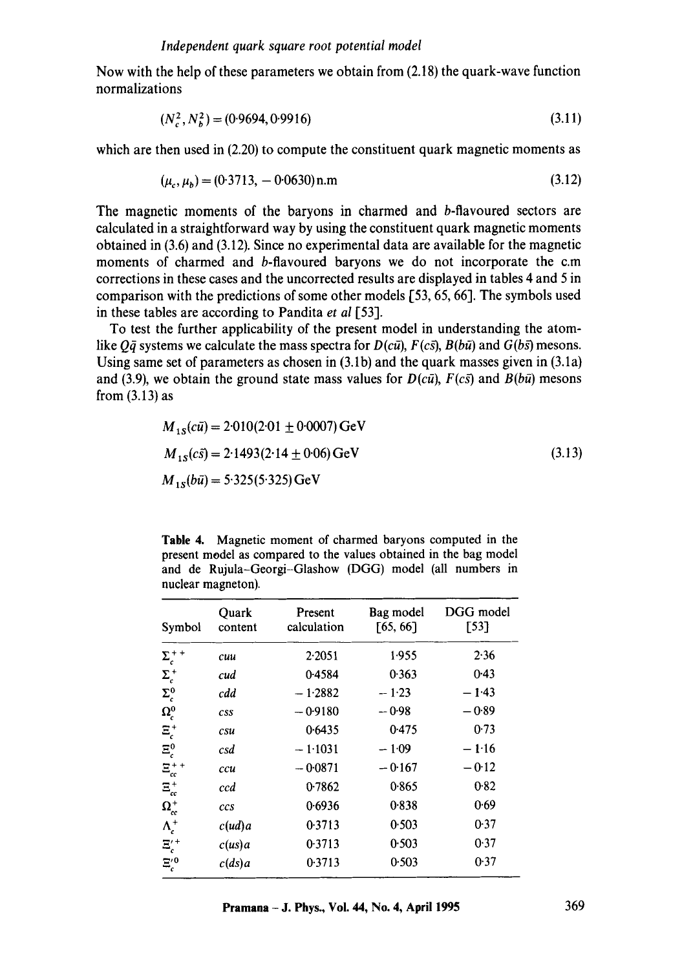Now with the help of these parameters we obtain from (2.18) the quark-wave function normalizations

$$
(N_c^2, N_b^2) = (0.9694, 0.9916) \tag{3.11}
$$

which are then used in (2.20) to compute the constituent quark magnetic moments as

$$
(\mu_c, \mu_b) = (0.3713, -0.0630) \,\text{n.m}
$$
\n<sup>(3.12)</sup>

The magnetic moments of the baryons in charmed and b-flavoured sectors are calculated in a straightforward way by using the constituent quark magnetic moments obtained in (3.6) and (3.12). Since no experimental data are available for the magnetic moments of charmed and b-flavoured baryons we do not incorporate the c.m corrections in these cases and the uncorrected results are displayed in tables 4 and 5 in comparison with the predictions of some other models [53, 65, 66]. The symbols used in these tables are according to Pandita *et al* [53].

To test the further applicability of the present model in understanding the atomlike  $Q\bar{q}$  systems we calculate the mass spectra for  $D(c\bar{u})$ ,  $F(c\bar{s})$ ,  $B(b\bar{u})$  and  $G(b\bar{s})$  mesons. Using same set of parameters as chosen in (3.1b) and the quark masses given in (3.1a) and (3.9), we obtain the ground state mass values for  $D(c\bar{u})$ ,  $F(c\bar{s})$  and  $B(b\bar{u})$  mesons from (3.13) as

$$
M_{1s}(c\bar{u}) = 2.010(2.01 \pm 0.0007) \text{ GeV}
$$
  
\n
$$
M_{1s}(c\bar{s}) = 2.1493(2.14 \pm 0.06) \text{ GeV}
$$
  
\n
$$
M_{1s}(b\bar{u}) = 5.325(5.325) \text{ GeV}
$$
\n(3.13)

**Table** 4. Magnetic moment of charmed baryons computed in the present model as compared to the values obtained in the bag model and de Rujula-Georgi--Glashow (DGG) model (all numbers in nuclear magneton).

| Symbol              | Quark<br>content | Present<br>calculation | Bag model<br>[65, 66] | DGG model<br>[53] |
|---------------------|------------------|------------------------|-----------------------|-------------------|
| $\Sigma_c^{++}$     | cuu              | 2.2051                 | 1.955                 | 2.36              |
| $\Sigma_c^+$        | cud              | 0.4584                 | 0.363                 | 0.43              |
| $\Sigma_c^0$        | cdd              | $-1.2882$              | $-1.23$               | $-1.43$           |
| $\Omega_{c}^{0}$    | <b>CSS</b>       | $-0.9180$              | $-0.98$               | $-0.89$           |
| $\Xi_c^+$           | csu              | 0.6435                 | 0.475                 | 0.73              |
| $\Xi_c^0$           | csd              | $-1.1031$              | $-1.09$               | $-1.16$           |
| $\Xi_{cc}^{++}$     | ccu              | $-0.0871$              | $-0.167$              | $-0.12$           |
| $\Xi_{cc}^{+}$      | ccd              | 0.7862                 | 0.865                 | 0.82              |
| $\Omega_{cc}^{+}$   | ccs              | 0.6936                 | 0.838                 | 0.69              |
| $\Lambda_c^+$       | c(ud)a           | 0.3713                 | 0.503                 | 0.37              |
| $\Xi_c^{\prime\,+}$ | c(us)a           | 0.3713                 | 0.503                 | 0.37              |
| $\Xi_c^{\prime\,0}$ | c(ds)a           | 0.3713                 | 0.503                 | 0.37              |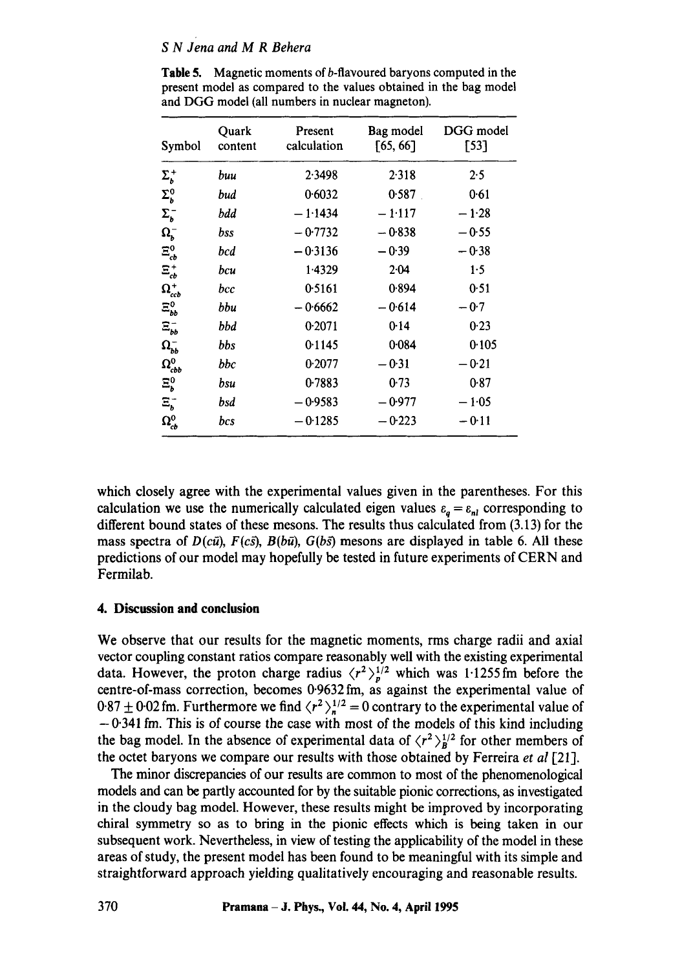| Symbol             | Quark<br>content | Present<br>calculation | Bag model<br>[65, 66] | DGG model<br>$[53]$ |
|--------------------|------------------|------------------------|-----------------------|---------------------|
| $\Sigma_{b}^{+}$   | buu              | 2.3498                 | 2.318                 | 2.5                 |
| $\Sigma_b^0$       | bud              | 0.6032                 | 0.587                 | 0.61                |
| $\Sigma_b^-$       | bdd              | $-1.1434$              | $-1.117$              | $-1.28$             |
| $\Omega_b^-$       | bss              | $-0.7732$              | $-0.838$              | $-0.55$             |
| $\Xi_{cb}^{0}$     | bcd              | $-0.3136$              | $-0.39$               | $-0.38$             |
| $\Xi_{cb}^{+}$     | bcu              | 1.4329                 | 2.04                  | 1.5                 |
| $\Omega_{ccb}^+$   | bcc              | 0.5161                 | 0.894                 | 0.51                |
| $\Xi_{bb}^{0}$     | bbu              | $-0.6662$              | $-0.614$              | $-0.7$              |
| $\Xi_{bb}^{-}$     | bbd              | 0.2071                 | 0.14                  | 0.23                |
| $\Omega_{bb}^{-}$  | bbs              | 0.1145                 | 0.084                 | 0.105               |
| $\Omega_{cbb}^{0}$ | bbc              | 0.2077                 | $-0.31$               | $-0.21$             |
| $\Xi_b^0$          | bsu              | 0.7883                 | 0.73                  | 0.87                |
| $E_b^-$            | bsd              | $-0.9583$              | $-0.977$              | $-1.05$             |
| $\Omega_{cb}^0$    | bcs              | $-0.1285$              | $-0.223$              | $-0.11$             |

Table 5. Magnetic moments of b-flavoured baryons computed in the present model as compared to the values obtained in the bag model and DGG model (all numbers in nuclear magneton).

which closely agree with the experimental values given in the parentheses. For this calculation we use the numerically calculated eigen values  $\varepsilon_a = \varepsilon_{nl}$  corresponding to different bound states of these mesons. The results thus calculated from (3.13) for the mass spectra of  $D(c\bar{u})$ ,  $F(c\bar{s})$ ,  $B(b\bar{u})$ ,  $G(b\bar{s})$  mesons are displayed in table 6. All these predictions of our model may hopefully be tested in future experiments of CERN and Fermilab.

## **4. Discussion and conclusion**

We observe that our results for the magnetic moments, rms charge radii and axial vector coupling constant ratios compare reasonably well with the existing experimental data. However, the proton charge radius  $\langle r^2 \rangle_p^{1/2}$  which was 1.1255 fm before the centre-of-mass correction, becomes 0.9632fm, as against the experimental value of  $0.87 \pm 0.02$  fm. Furthermore we find  $\langle r^2 \rangle_n^{1/2} = 0$  contrary to the experimental value of **-** 0.341 fm. This is of course the case with most of the models of this kind including the bag model. In the absence of experimental data of  $\langle r^2 \rangle_B^{1/2}$  for other members of the octet baryons we compare our results with those obtained by Ferreira *et al* [211.

The minor discrepancies of our results are common to most of the phenomenological models and can be partly accounted for by the suitable pionic corrections, as investigated in the cloudy bag model. However, these results might be improved by incorporating chiral symmetry so as to bring in the pionic effects which is being taken in our subsequent work. Nevertheless, in view of testing the applicability of the model in these areas of study, the present model has been found to be meaningful with its simple and straightforward approach yielding qualitatively encouraging and reasonable results.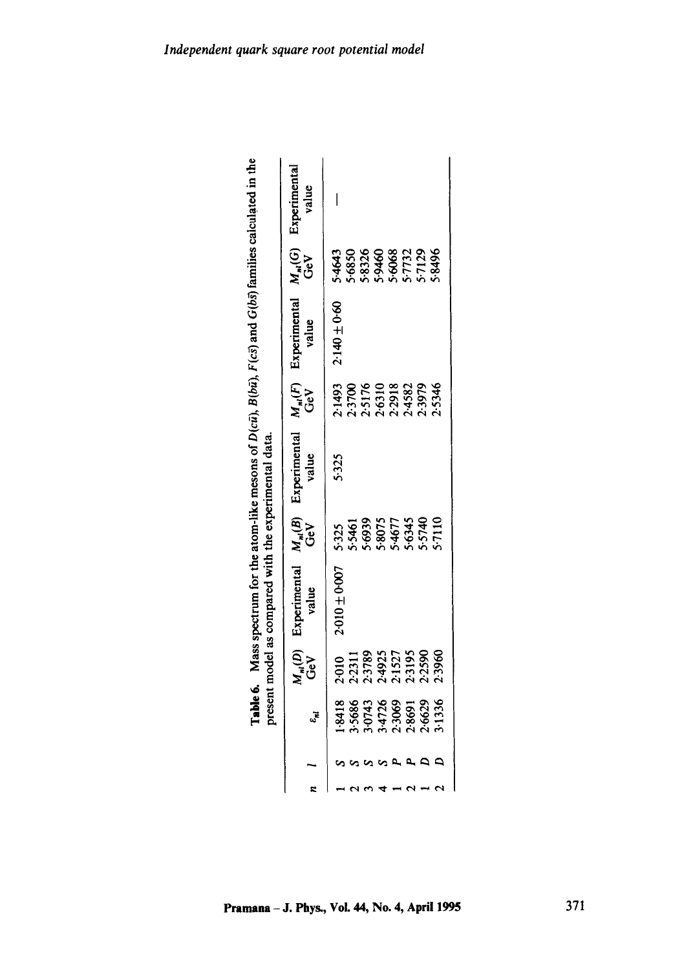|  |                                                          |                                                                   | <b>Table 6.</b> Mass spectrum for the atom-like mesons of $D(c\bar{u})$ , $B(b\bar{u})$ , $F(c\bar{s})$ and $G(b\bar{s})$ families calculated in the<br>present model as compared with the experimental data. |                                                        |                       |                                                          |                       |                                                            |                       |
|--|----------------------------------------------------------|-------------------------------------------------------------------|---------------------------------------------------------------------------------------------------------------------------------------------------------------------------------------------------------------|--------------------------------------------------------|-----------------------|----------------------------------------------------------|-----------------------|------------------------------------------------------------|-----------------------|
|  | $\varepsilon_{nl}$                                       | $\frac{M_{nl}(D)}{\text{GeV}}$                                    | Experimental<br>value                                                                                                                                                                                         | $M_{nl}(B)$                                            | Experimental<br>value | $M_{nl}(F)$ GeV                                          | Experimental<br>value | $M_{nl}(G)$ <b>L</b><br>GeV                                | Experimental<br>value |
|  |                                                          |                                                                   | 2010±0007                                                                                                                                                                                                     |                                                        | 5.325                 |                                                          | $2.140 \pm 0.60$      |                                                            |                       |
|  |                                                          |                                                                   |                                                                                                                                                                                                               |                                                        |                       |                                                          |                       |                                                            |                       |
|  |                                                          |                                                                   |                                                                                                                                                                                                               |                                                        |                       |                                                          |                       |                                                            |                       |
|  |                                                          |                                                                   |                                                                                                                                                                                                               |                                                        |                       |                                                          |                       |                                                            |                       |
|  |                                                          |                                                                   |                                                                                                                                                                                                               |                                                        |                       |                                                          |                       |                                                            |                       |
|  |                                                          |                                                                   |                                                                                                                                                                                                               |                                                        |                       | 2:1493<br>2:3700<br>2:5176<br>2:4582<br>2:5345<br>2:5346 |                       | 5-4643<br>5-6850<br>5-83326<br>5-6063<br>5-77129<br>5-8496 |                       |
|  |                                                          |                                                                   |                                                                                                                                                                                                               |                                                        |                       |                                                          |                       |                                                            |                       |
|  | 1:8418<br>3:5686<br>3:0743<br>3:4726<br>2:6629<br>2:1336 | 2.010<br>2.2311<br>2.3789<br>2.3195<br>2.3960<br>2.3960<br>2.3960 |                                                                                                                                                                                                               | 5325<br>53461<br>5393075<br>534677<br>557110<br>557110 |                       |                                                          |                       |                                                            |                       |

**Table 6.** Mass spectrum for the atom-like mesons of  $D(c\bar{u})$ ,  $B(b\bar{u})$ ,  $F(c\bar{s})$  and  $G(b\bar{s})$  families calculated in the and G(bs) families calculated in the  $R(h\bar{u})$   $F(r\bar{v})$  $\widehat{\mathbf{F}}$  $\sqrt{D}$ 信 ÷ ś ę, Ž  $\overline{a}$ Ŕ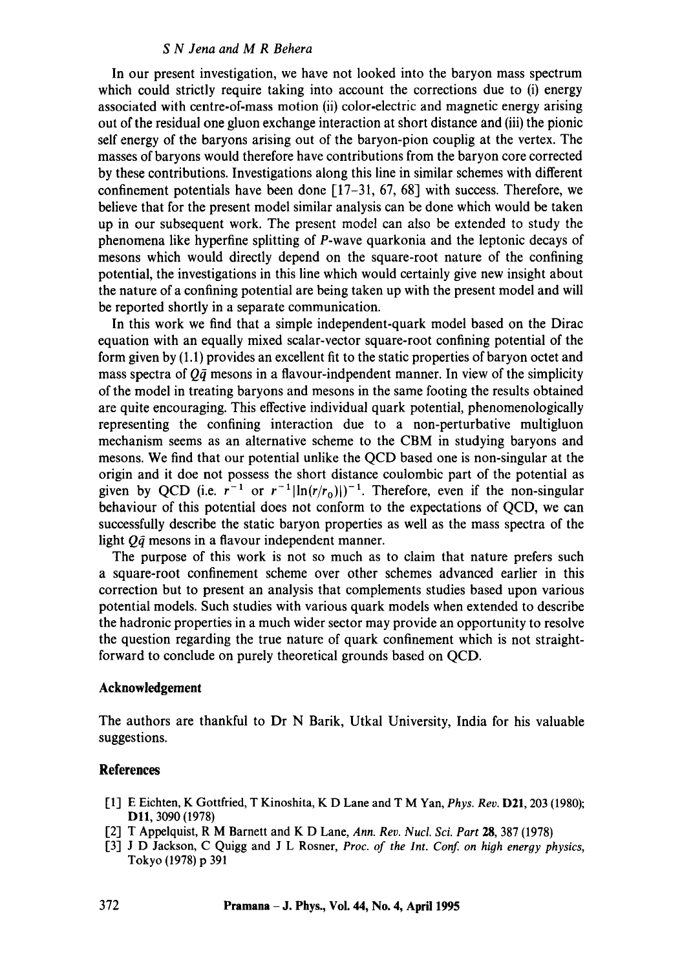In our present investigation, we have not looked into the baryon mass spectrum which could strictly require taking into account the corrections due to (i) energy associated with centre-of-mass motion (ii) color-electric and magnetic energy arising out of the residual one gluon exchange interaction at short distance and (iii) the pionic self energy of the baryons arising out of the baryon-pion couplig at the vertex. The masses of baryons would therefore have contributions from the baryon core corrected by these contributions. Investigations along this line in similar schemes with different confinement potentials have been done  $[17-31, 67, 68]$  with success. Therefore, we believe that for the present model similar analysis can be done which would be taken up in our subsequent work. The present model can also be extended to study the phenomena like hyperfine splitting of P-wave quarkonia and the leptonic decays of mesons which would directly depend on the square-root nature of the confining potential, the investigations in this line which would certainly give new insight about the nature of a confining potential are being taken up with the present model and will be reported shortly in a separate communication.

In this work we find that a simple independent-quark model based on the Dirac equation with an equally mixed scalar-vector square-root confining potential of the form given by (1.1) provides an excellent fit to the static properties of baryon octet and mass spectra of  $Q\bar{q}$  mesons in a flavour-indpendent manner. In view of the simplicity of the model in treating baryons and mesons in the same footing the results obtained are quite encouraging. This effective individual quark potential, phenomenologically representing the confining interaction due to a non-perturbative multigluon mechanism seems as an alternative scheme to the CBM in studying baryons and mesons. We find that our potential unlike the QCD based one is non-singular at the origin and it doe not possess the short distance coulombic part of the potential as given by QCD (i.e.  $r^{-1}$  or  $r^{-1}$ |ln(r/r<sub>0</sub>)|)<sup>-1</sup>. Therefore, even if the non-singular behaviour of this potential does not conform to the expectations of QCD, we can successfully describe the static baryon properties as well as the mass spectra of the light  $Q\bar{q}$  mesons in a flavour independent manner.

The purpose of this work is not so much as to claim that nature prefers such a square-root confinement scheme over other schemes advanced earlier in this correction but to present an analysis that complements studies based upon various potential models. Such studies with various quark models when extended to describe the hadronic properties in a much wider sector may provide an opportunity to resolve the question regarding the true nature of quark confinement which is not straightforward to conclude on purely theoretical grounds based on QCD.

#### **Acknowledgement**

The authors are thankful to Dr N Barik, Utkal University, India for his valuable suggestions.

## **References**

- [1] E Eichten, K Gottfried, T Kinoshita, K D Lane and T M Yan, *Phys. Rev.* D21,203 (1980); D11, 3090 (1978)
- [2] T Appelquist, R M Barnett and K D Lane, *Ann. Rev. Nucl. Sci. Part* 28, 387 (1978)
- [3] J D Jackson, C Quigg and J L Rosner, *Proc. of the Int. Conf. on high energy physics*, Tokyo (1978) p 391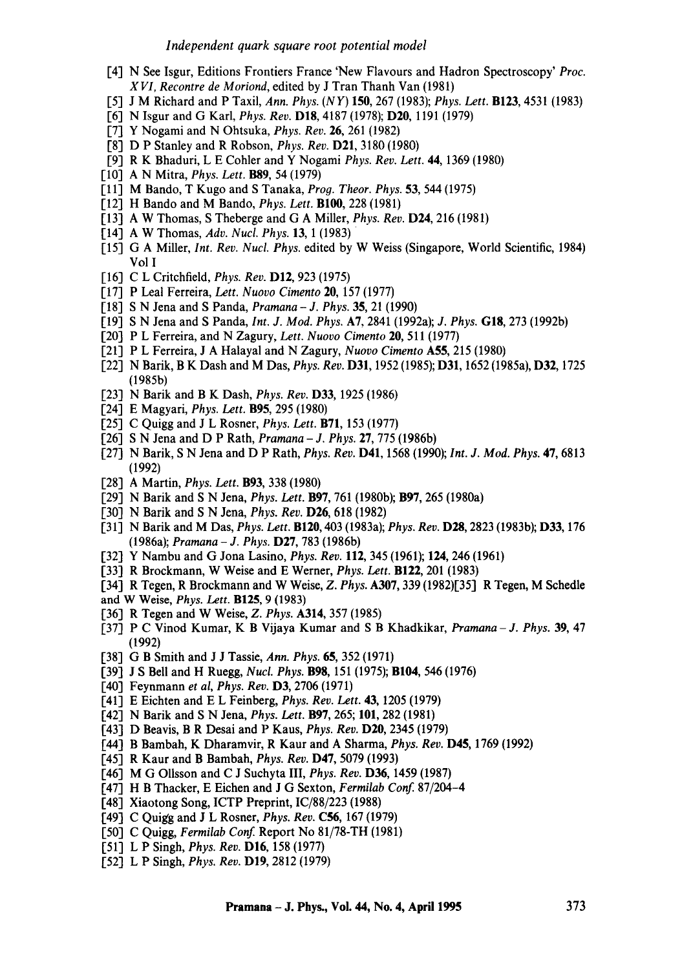- [4] N See Isgur, Editions Frontiers France 'New Flavours and Hadron Spectroscopy' *Proc. XVI, Recontre de Moriond,* edited by J Tran Thanh Van (1981)
- [5] J M Richard and P Taxil, *Ann. Phys. (NY)* 150, 267 (1983); *Phys. Lett.* B123, 4531 (1983)
- [6] N Isgur and G Karl, *Phys. Rev.* D18, 4187 (1978); D20, 1191 (1979)
- [7] Y Nogami and N Ohtsuka, *Phys. Rev.* 26, 261 (1982)
- [8] D P Stanley and R Robson, *Phys. Rev.* D21, 3180 (1980)
- [9] R K Bhaduri, L E Cohler and Y Nogami *Phys. Rev. Lett.* 44, 1369 (1980)
- [10] A N Mitra, *Phys. Lett.* B89, 54 (1979)
- [11] M Bando, T Kugo and S Tanaka, *Prog. Theor. Phys.* 53, 544 (1975)
- [12] H Bando and M Bando, *Phys. Lett.* Bl00, 228 (1981)
- [13] A W Thomas, S Theberge and G A Miller, *Phys. Rev.* **D24**, 216 (1981)
- [14] A W Thomas, *Adv. Nucl. Phys.* 13, 1 (1983)
- [15] G A Miller, *Int. Rev. Nucl. Phys.* edited by W Weiss (Singapore, World Scientific, 1984) Vol I
- [16] C L Critchfield, *Phys. Rev.* **D12**, 923 (1975)
- [17] P Leal Ferreira, *Left. Nuovo Cimento* 20, 157 (1977)
- [18] S N Jena and S Panda, *Pramana J. Phys.* 35, 21 (1990)
- [19] S N Jena and S Panda, *Int. J. Mod. Phys.* A7, 2841 (1992a); *J. Phys.* GIS, 273 (1992b)
- [20] P L Ferreira, and N Zagury, *Lett. Nuovo Cimento* 20, 511 (1977)
- [21] P L Ferreira, J A Halayal and N Zagury, *Nuovo Cimento* A55, 215 (1980)
- [22] N Barik, B K Dash and M Das, *Phys. Rev.* D31, 1952 (1985); D31, 1652 (1985a), D32, 1725 (1985b)
- [23] N Batik and B K Dash, *Phys. Rev.* D33, 1925 (1986)
- [24] E Magyati, *Phys. Lett.* B95, 295 (1980)
- [25] C Quigg and J L Rosner, *Phys. Lett.* B71, 153 (1977)
- [26] S N Jena and D P Rath, *Pramana J. Phys.* 27, 775 (1986b)
- [27] N Batik, S N Jena and D P Rath, *Phys. Rev.* D41, 1568 (1990); *Int. J. Mod. Phys.* 47, 6813 (1992)
- [28] A Martin, *Phys. Lett.* B93, 338 (1980)
- [29] N Barik and S N Jena, *Phys. Lett.* **B97**, 761 (1980b); **B97**, 265 (1980a)
- [30] N Batik and S N Jena, *Phys. Rev.* D26, 618 (1982)
- [31] N Barik and M Das, *Phys. Lett.* B120, 403 (1983a); *Phys. Rev.* D28, 2823 (1983b); D33, 176 (1986a); *Pramana - J. Phys.* D27, 783 (1986b)
- [32] Y Nambu and G Jona Lasino, *Phys. Rev.* 112, 345 (1961); 124, 246 (1961)
- [33] R Brockmann, W Weise and E Werner, *Phys. Lett.* B122, 201 (1983)
- [34] R Tegen, R Brockmann and W Weise, *Z. Phys.* A307, 339 (1982)[35] R Tegen, M Schedle
- and W Weise, *Phys. Lett.* B125, 9 (1983)
- [36] R Tegen and W Weise, *Z. Phys.* A314, 357 (1985)
- [37] P C Vinod Kumar, K B Vijaya Kumar and S B Khadkikar, *Pramana- J. Phys.* 39, 47 (1992)
- [38] G B Smith and J J Tassie, *Ann. Phys.* 65, 352 (1971)
- [39] J S Bell and H Ruegg, *Nucl. Phys.* B98, 151 (1975); BI04, 546 (1976)
- [40] Feynmann *et al, Phys. Rev.* D3, 2706 (1971)
- [41] E Eichten and E L Feinberg, *Phys. Rev. Left.* 43, 1205 (1979)
- [42] N Batik and S N Jena, *Phys. Lett.* B97, 265; 101, 282 (1981)
- [43] D Beavis, B R Desai and P Kaus, *Phys.* Rev. D20, 2345 (1979)
- [44] B Bambah, K Dharamvir, R Kaur and A Sharma, *Phys. Rev.* D45, 1769 (1992)
- [45] R Kaur and B Bambah, *Phys. Rev.* D47, 5079 (1993)
- [46] M G Ollsson and C J Suchyta III, *Phys. Rev.* **D36**, 1459 (1987)
- [47] H B Thacker, E Eichen and J G Sexton, *Fermilab Conf.* 87/204-4
- [48] Xiaotong Song, ICTP Preprint, IC/88/223 (1988)
- [49] C Quigg and J L Rosner, *Phys. Rev.* C56, 167 (1979)
- [50] C Quigg, *Fermilab Conf.* Report No 81/75-TH (1981)
- [51] L P Singh, *Phys. Rev.* DI6, 158 (1977)
- [52] L P Singh, *Phys. Rev.* D19, 2812 (1979)